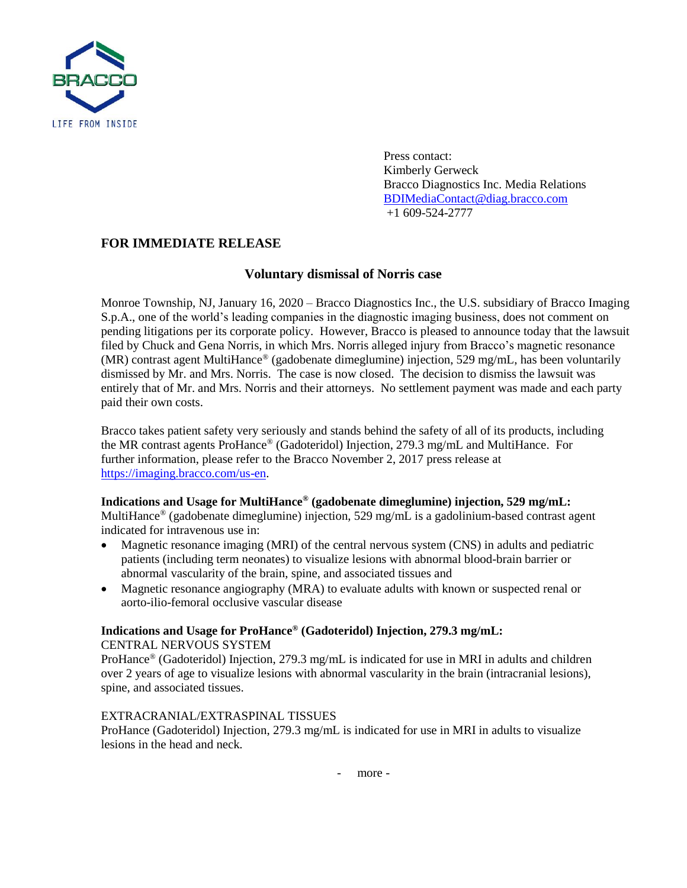

Press contact: Kimberly Gerweck Bracco Diagnostics Inc. Media Relations [BDIMediaContact@diag.bracco.com](mailto:BDIMediaContact@diag.bracco.com) +1 609-524-2777

# **FOR IMMEDIATE RELEASE**

### **Voluntary dismissal of Norris case**

Monroe Township, NJ, January 16, 2020 – Bracco Diagnostics Inc., the U.S. subsidiary of Bracco Imaging S.p.A., one of the world's leading companies in the diagnostic imaging business, does not comment on pending litigations per its corporate policy. However, Bracco is pleased to announce today that the lawsuit filed by Chuck and Gena Norris, in which Mrs. Norris alleged injury from Bracco's magnetic resonance (MR) contrast agent MultiHance® (gadobenate dimeglumine) injection, 529 mg/mL, has been voluntarily dismissed by Mr. and Mrs. Norris. The case is now closed. The decision to dismiss the lawsuit was entirely that of Mr. and Mrs. Norris and their attorneys. No settlement payment was made and each party paid their own costs.

Bracco takes patient safety very seriously and stands behind the safety of all of its products, including the MR contrast agents ProHance® (Gadoteridol) Injection, 279.3 mg/mL and MultiHance. For further information, please refer to the Bracco November 2, 2017 press release at [https://imaging.bracco.com/us-en.](https://imaging.bracco.com/us-en)

### **Indications and Usage for MultiHance® (gadobenate dimeglumine) injection, 529 mg/mL:**

MultiHance<sup>®</sup> (gadobenate dimeglumine) injection, 529 mg/mL is a gadolinium-based contrast agent indicated for intravenous use in:

- Magnetic resonance imaging (MRI) of the central nervous system (CNS) in adults and pediatric patients (including term neonates) to visualize lesions with abnormal blood-brain barrier or abnormal vascularity of the brain, spine, and associated tissues and
- Magnetic resonance angiography (MRA) to evaluate adults with known or suspected renal or aorto-ilio-femoral occlusive vascular disease

### **Indications and Usage for ProHance® (Gadoteridol) Injection, 279.3 mg/mL:**

CENTRAL NERVOUS SYSTEM

ProHance® (Gadoteridol) Injection, 279.3 mg/mL is indicated for use in MRI in adults and children over 2 years of age to visualize lesions with abnormal vascularity in the brain (intracranial lesions), spine, and associated tissues.

### EXTRACRANIAL/EXTRASPINAL TISSUES

ProHance (Gadoteridol) Injection, 279.3 mg/mL is indicated for use in MRI in adults to visualize lesions in the head and neck.

- more -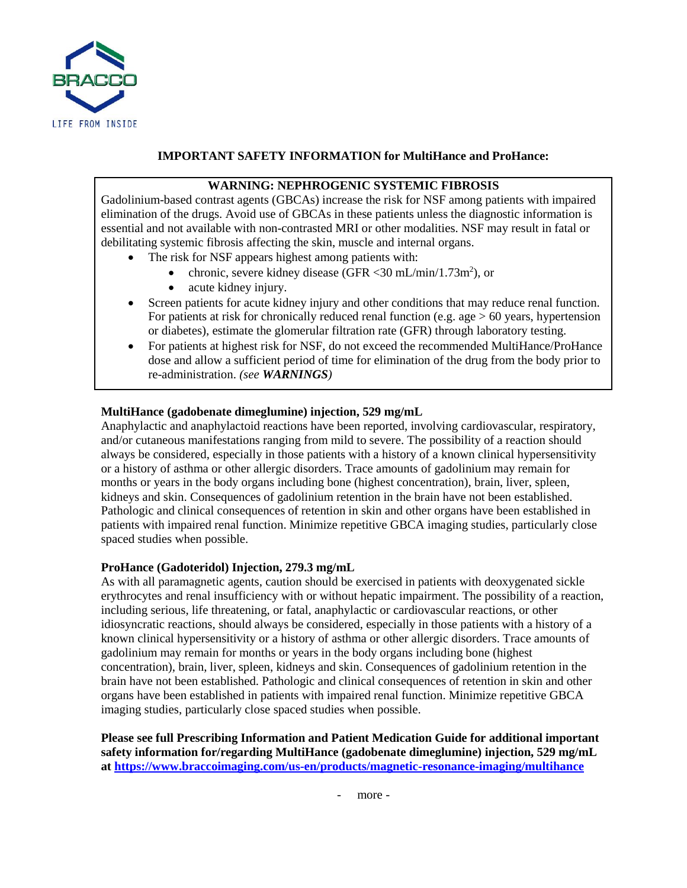

## **IMPORTANT SAFETY INFORMATION for MultiHance and ProHance:**

## **WARNING: NEPHROGENIC SYSTEMIC FIBROSIS**

Gadolinium-based contrast agents (GBCAs) increase the risk for NSF among patients with impaired elimination of the drugs. Avoid use of GBCAs in these patients unless the diagnostic information is essential and not available with non-contrasted MRI or other modalities. NSF may result in fatal or debilitating systemic fibrosis affecting the skin, muscle and internal organs.

- The risk for NSF appears highest among patients with:
	- chronic, severe kidney disease (GFR < 30 mL/min/1.73m<sup>2</sup>), or
	- acute kidney injury.
- Screen patients for acute kidney injury and other conditions that may reduce renal function. For patients at risk for chronically reduced renal function (e.g. age  $> 60$  years, hypertension or diabetes), estimate the glomerular filtration rate (GFR) through laboratory testing.
- For patients at highest risk for NSF, do not exceed the recommended MultiHance/ProHance dose and allow a sufficient period of time for elimination of the drug from the body prior to re-administration. *(see WARNINGS)*

### **MultiHance (gadobenate dimeglumine) injection, 529 mg/mL**

Anaphylactic and anaphylactoid reactions have been reported, involving cardiovascular, respiratory, and/or cutaneous manifestations ranging from mild to severe. The possibility of a reaction should always be considered, especially in those patients with a history of a known clinical hypersensitivity or a history of asthma or other allergic disorders. Trace amounts of gadolinium may remain for months or years in the body organs including bone (highest concentration), brain, liver, spleen, kidneys and skin. Consequences of gadolinium retention in the brain have not been established. Pathologic and clinical consequences of retention in skin and other organs have been established in patients with impaired renal function. Minimize repetitive GBCA imaging studies, particularly close spaced studies when possible.

### **ProHance (Gadoteridol) Injection, 279.3 mg/mL**

As with all paramagnetic agents, caution should be exercised in patients with deoxygenated sickle erythrocytes and renal insufficiency with or without hepatic impairment. The possibility of a reaction, including serious, life threatening, or fatal, anaphylactic or cardiovascular reactions, or other idiosyncratic reactions, should always be considered, especially in those patients with a history of a known clinical hypersensitivity or a history of asthma or other allergic disorders. Trace amounts of gadolinium may remain for months or years in the body organs including bone (highest concentration), brain, liver, spleen, kidneys and skin. Consequences of gadolinium retention in the brain have not been established. Pathologic and clinical consequences of retention in skin and other organs have been established in patients with impaired renal function. Minimize repetitive GBCA imaging studies, particularly close spaced studies when possible.

**Please see full Prescribing Information and Patient Medication Guide for additional important safety information for/regarding MultiHance (gadobenate dimeglumine) injection, 529 mg/mL at<https://www.braccoimaging.com/us-en/products/magnetic-resonance-imaging/multihance>**